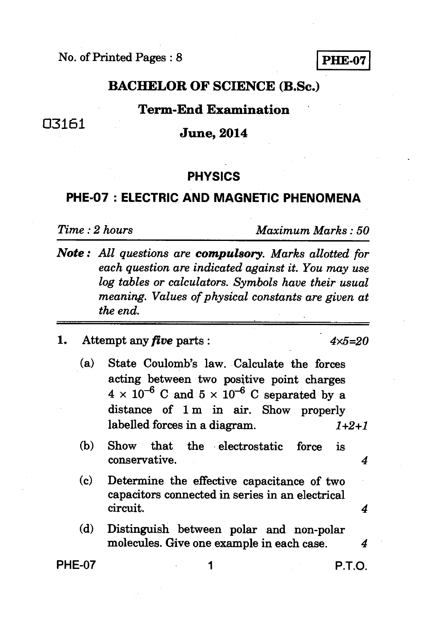No. of Printed Pages : 8 **PHE-07** 

## **BACHELOR OF SCIENCE (B.Sc.)**

#### **Term-End Examination**

# <sup>03161</sup>**June, 2014**

#### **PHYSICS**

## **PHE-07 : ELECTRIC AND MAGNETIC PHENOMENA**

*Time : 2 hours Maximum Marks : 50* 

- *Note : All questions are compulsory. Marks allotted for each question are indicated against it. You may use log tables or calculators. Symbols have their usual meaning. Values of physical constants are given at the end.*
- **1.** Attempt any *five* parts :  $4 \times 5 = 20$ 
	- **(a) State Coulomb's law. Calculate the forces acting between two positive point charges**   $4 \times 10^{-6}$  C and  $5 \times 10^{-6}$  C separated by a **distance of 1 m in air. Show properly labelled forces in a diagram.** *1+2+1*
	- **(b) Show that the electrostatic force is conservative.** *4*
	- **(c) Determine the effective capacitance of two capacitors connected in series in an electrical circuit.** *4*
	- **(d) Distinguish between polar and non-polar molecules. Give one example in each case.** *4*

**PHE-07 1 P.T.O.**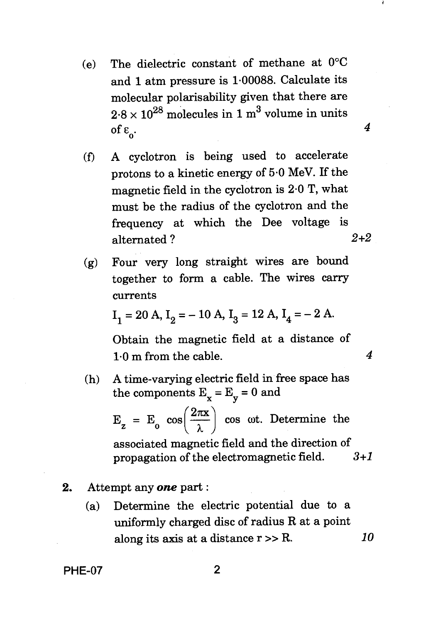(e) The dielectric constant of methane at  $0^{\circ}$ C and 1 atm pressure is 1.00088. Calculate its molecular polarisability given that there are  $2.8 \times 10^{28}$  molecules in 1 m<sup>3</sup> volume in units of ε<sub>ρ</sub>.

*4* 

*4* 

- (f) A cyclotron is being used to accelerate protons to a kinetic energy of 5.0 MeV. If the magnetic field in the cyclotron is 2.0 T, what must be the radius of the cyclotron and the frequency at which the Dee voltage is alternated ? *2+2*
- (g) Four very long straight wires are bound together to form a cable. The wires carry currents

$$
I_1 = 20 A
$$
,  $I_2 = -10 A$ ,  $I_3 = 12 A$ ,  $I_4 = -2 A$ .

Obtain the magnetic field at a distance of 1.0 m from the cable.

(h) A time-varying electric field in free space has the components  $E_y = E_y = 0$  and

> $E_z = E_0 \cos\left(\frac{2\pi x}{\lambda}\right) \cos \omega t$ . Determine the associated magnetic field and the direction of

propagation of the electromagnetic field.  $3+1$ 

#### 2. Attempt any *one* part :

(a) Determine the electric potential due to a uniformly charged disc of radius R at a point along its axis at a distance  $r \gg R$ .  $10$ 

PHE-07 2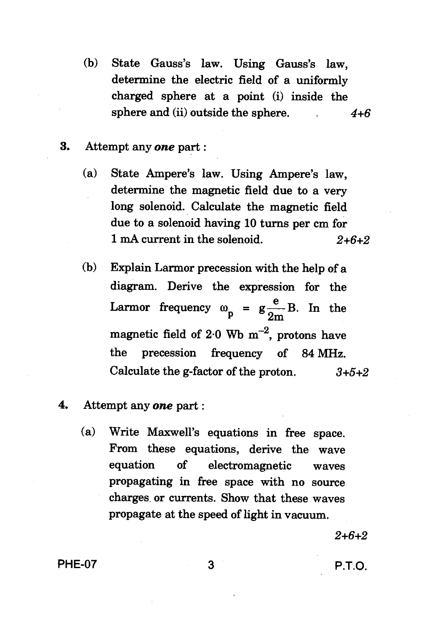- **(b) State Gauss's law. Using Gauss's law, determine the electric field of a uniformly charged sphere at a point (i) inside the sphere and (ii) outside the sphere.** *4+6*
- **3. Attempt any** *one* **part :** 
	- **(a) State Ampere's law. Using Ampere's law, determine the magnetic field due to a very long solenoid. Calculate the magnetic field due to a solenoid having 10 turns per cm for 1 mA current in the solenoid.** 2+6+2
	- **(b) Explain Larmor precession with the help of a diagram. Derive the expression for the**  Larmor frequency  $\omega_{\textbf{n}} = g \frac{e}{\omega_{\textbf{n}}} B$ . In the **magnetic field of 2.0 Wb m-2, protons have the precession frequency of 84 MHz. Calculate the g-factor of the proton.** 3+5+2
- **4. Attempt any** *one* **part :** 
	- **(a) Write Maxwell's equations in free space. From these equations, derive the wave equation of electromagnetic waves propagating in free space with no source charges or currents. Show that these waves propagate at the speed of light in vacuum.**

 $2+6+2$ 

**PHE-07 3 P.T.O.**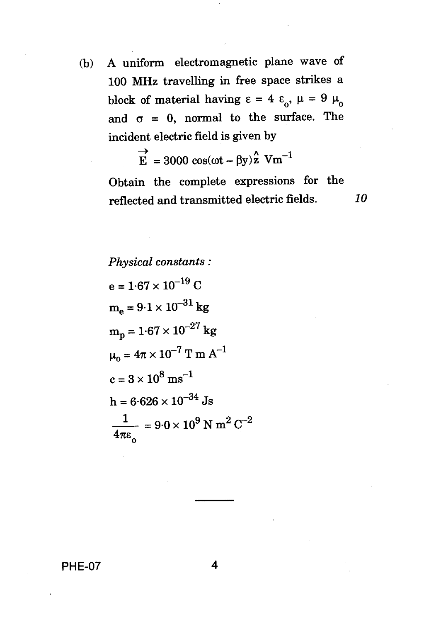(b) A uniform electromagnetic plane wave of 100 MHz travelling in free space strikes a block of material having  $\epsilon = 4 \epsilon_0$ ,  $\mu = 9 \mu_0$ and  $\sigma = 0$ , normal to the surface. The incident electric field is given by

$$
\vec{E} = 3000 \cos(\omega t - \beta y) \hat{z} \text{ Vm}^{-1}
$$

Obtain the complete expressions for the reflected and transmitted electric fields. *10* 

*Physical constants :*   $e = 1.67 \times 10^{-19}$  C  $m_e = 9.1 \times 10^{-31}$  kg  $m_p = 1.67 \times 10^{-27}$  kg  $\mu_0 = 4\pi \times 10^{-7}$  T m A<sup>-1</sup>  $c = 3 \times 10^8 \text{ ms}^{-1}$  $h = 6.626 \times 10^{-34}$  Js  $\frac{1}{\sqrt{1}}$  = 9.0 × 10<sup>9</sup> N m<sup>2</sup> C<sup>-2</sup>  $4\pi\epsilon_0^2$ 

**PHE-07 4**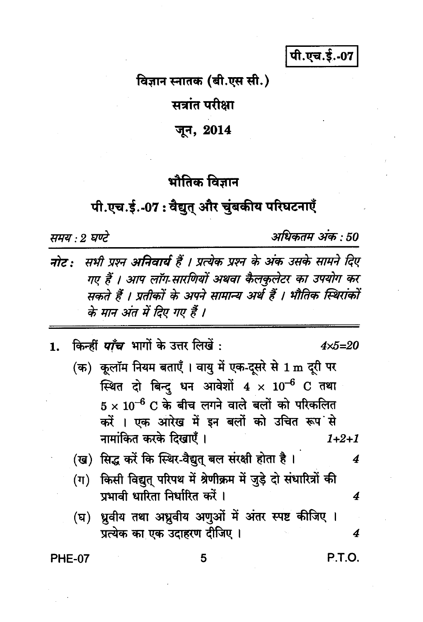पी.एच.ई.-07

विज्ञान स्नातक (बी.एस सी.)

सत्रांत परीक्षा

जून, 2014

## भौतिक विज्ञान

## पी.एच.ई.-07: वैद्युत् और चुंबकीय परिघटनाएँ

समय : २ घण्टे

अधिकतम अंक : 50

सभी प्रश्न अनिवार्य हैं । प्रत्येक प्रश्न के अंक उसके सामने दिए नोट : गए हैं । आप लॉग-सारणियों अथवा कैलकुलेटर का उपयोग कर सकते हैं । प्रतीकों के अपने सामान्य अर्थ हैं । भौतिक स्थिरांकों के मान अंत में दिए गए हैं ।

किन्हीं *पाँच* भागों के उत्तर लिखें :  $4x5=20$  $\mathbf{1}$ . (क) कूलॉम नियम बताएँ । वायु में एक-दूसरे से 1 m दूरी पर स्थित दो बिन्द धन आवेशों  $4 \times 10^{-6}$  C तथा  $5\times10^{-6}$  C के बीच लगने वाले बलों को परिकलित करें । एक आरेख में इन बलों को उचित रूप से नामांकित करके दिखाएँ ।  $1 + 2 + 1$ (ख) सिद्ध करें कि स्थिर-वैद्युत् बल संरक्षी होता है। 4 (ग) किसी विद्युत परिपथ में श्रेणीक्रम में जुड़े दो संधारित्रों की प्रभावी धारिता निर्धारित करें ।  $\boldsymbol{4}$ (घ) ध्रुवीय तथा अध्रुवीय अणुओं में अंतर स्पष्ट कीजिए । प्रत्येक का एक उदाहरण दीजिए ।  $\boldsymbol{4}$ P.T.O. **PHE-07** 5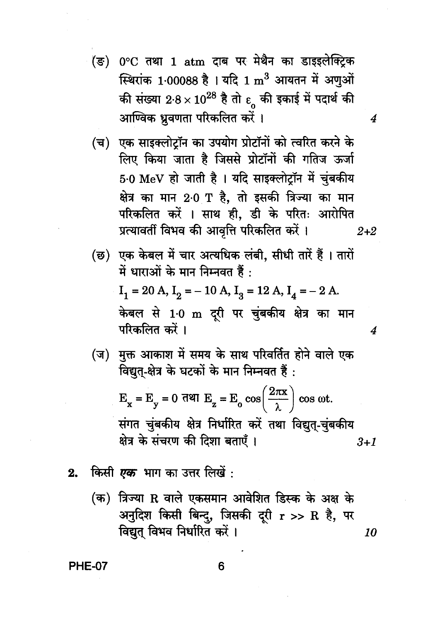(ङ) 0°C तथा 1 atm दाब पर मेथैन का डाइइलेक्ट्रिक स्थिरांक 1.00088 है। यदि 1 m<sup>3</sup> आयतन में अणुओं की संख्या 2.8 × 10<sup>28</sup> है तो  $\varepsilon$  की इकाई में पदार्थ की आण्विक ध्रुवणता परिकलित करें ।

4

4

- (च) एक साइक्लोटॉन का उपयोग प्रोटॉनों को त्वरित करने के लिए किया जाता है जिससे प्रोटॉनों की गतिज ऊर्जा 5.0 MeV हो जाती है । यदि साइक्लोटॉन में चंबकीय क्षेत्र का मान 2<sup>.</sup>0 T है. तो इसकी त्रिज्या का मान परिकलित करें । साथ ही, डी के परितः आरोपित प्रत्यावर्ती विभव की आवृत्ति परिकलित करें।  $2 + 2$
- (छ) एक केबल में चार अत्यधिक लंबी. सीधी तारें हैं । तारों में धाराओं के मान निम्नवत हैं :  $I_1 = 20 A$ ,  $I_2 = -10 A$ ,  $I_3 = 12 A$ ,  $I_4 = -2 A$ . केबल से 1<sup>.</sup>0 m दूरी पर चुंबकीय क्षेत्र का मान परिकलित करें ।
- (ज) मुक्त आकाश में समय के साथ परिवर्तित होने वाले एक विद्युत्-क्षेत्र के घटकों के मान निम्नवत हैं :

 $E_x = E_y = 0$  dell  $E_z = E_0 \cos\left(\frac{2\pi x}{\lambda}\right) \cos \omega t$ . संगत चुंबकीय क्षेत्र निर्धारित करें तथा विद्युत-चुंबकीय क्षेत्र के संचरण की दिशा बताएँ ।  $3 + 1$ 

- किसी *एक* भाग का उत्तर लिखें : 2.
	- (क) त्रिज्या R वाले एकसमान आवेशित डिस्क के अक्ष के अनुदिश किसी बिन्दु, जिसकी दूरी r >> R है, पर विद्युत विभव निर्धारित करें। 10

**PHE-07**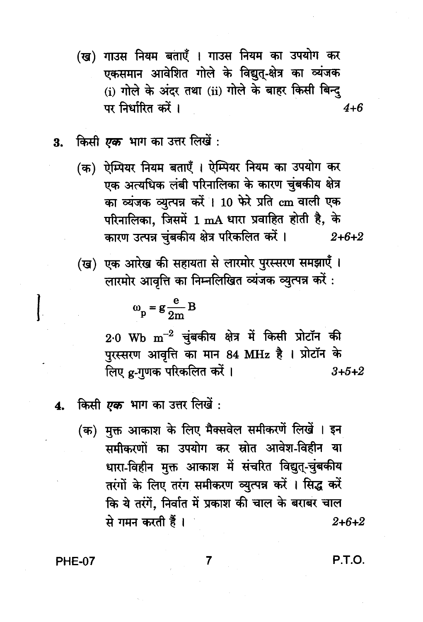- (ख) गाउस नियम बताएँ । गाउस नियम का उपयोग कर एकसमान आवेशित गोले के विद्युत-क्षेत्र का व्यंजक (i) गोले के अंदर तथा (ii) गोले के बाहर किसी बिन्द पर निर्धारित करें । 4+6
- ंकिसी *एक* भाग का उत्तर लिखें : 3.
	- (क) ऐम्पियर नियम बताएँ । ऐम्पियर नियम का उपयोग कर एक अत्यधिक लंबी परिनालिका के कारण चुंबकीय क्षेत्र का व्यंजक व्युत्पन्न करें। 10 फेरे प्रति cm वाली एक परिनालिका, जिसमें 1 mA धारा प्रवाहित होती है, के कारण उत्पन्न चुंबकीय क्षेत्र परिकलित करें।  $2 + 6 + 2$
	- (ख) एक आरेख की सहायता से लारमोर पुरस्सरण समझाएँ । लारमोर आवृत्ति का निम्नलिखित व्यंजक व्युत्पन्न करें :

$$
\omega_{\rm p} = g \frac{\rm e}{2m} B
$$

 $2.0$  Wb  $\mathrm{m}^{-2}$  चुंबकीय क्षेत्र में किसी प्रोटॉन की पुरस्सरण आवृत्ति का मान 84 MHz है । प्रोटॉन के लिए g-गुणक परिकलित करें।  $3 + 5 + 2$ 

- किसी *एक* भाग का उत्तर लिखें :  $4.$ 
	- (क) मुक्त आकाश के लिए मैक्सवेल समीकरणें लिखें । इन समीकरणों का उपयोग कर स्रोत आवेश-विहीन या धारा-विहीन मुक्त आकाश में संचरित विद्युत्-चुंबकीय तरंगों के लिए तरंग समीकरण व्युत्पन्न करें । सिद्ध करें कि ये तरंगें, निर्वात में प्रकाश की चाल के बराबर चाल से गमन करती हैं।  $2 + 6 + 2$

**PHE-07** 

P.T.O.